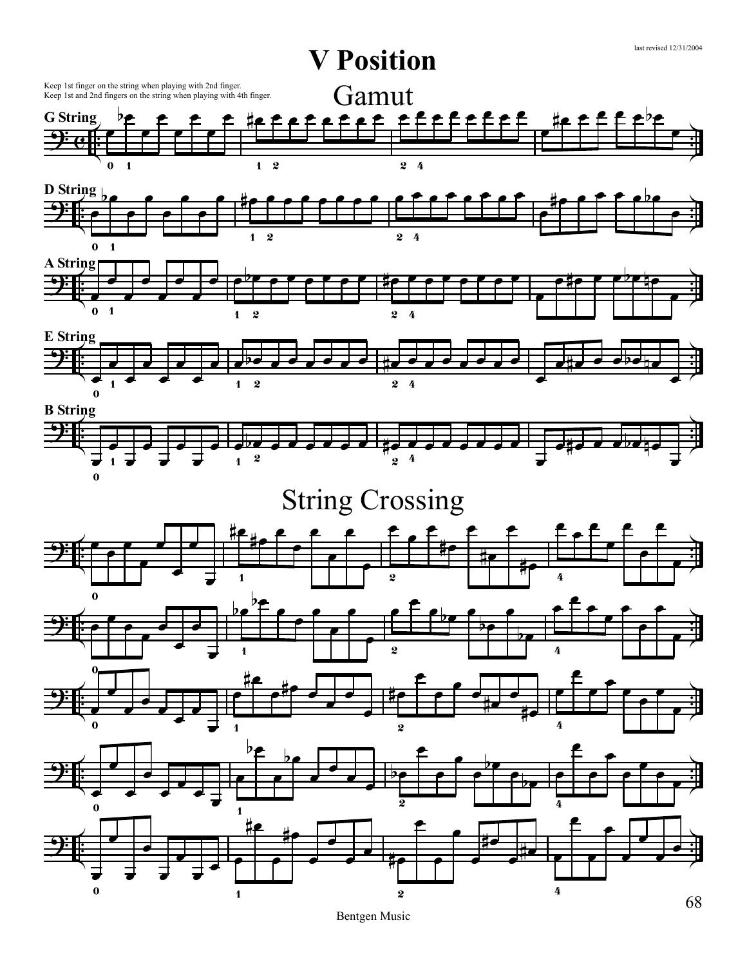

68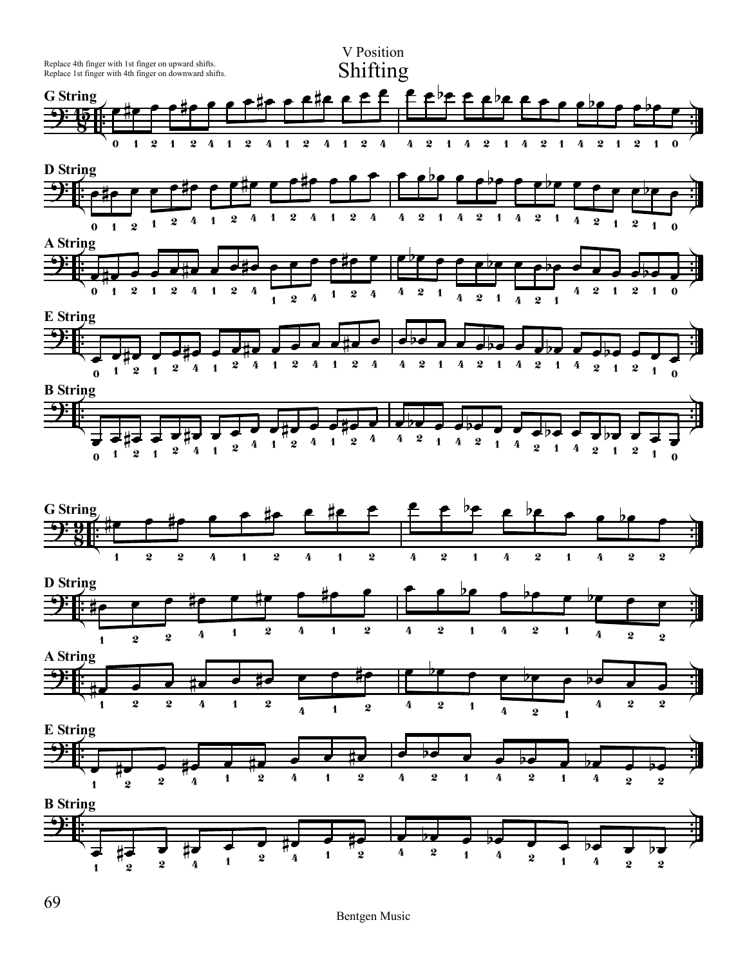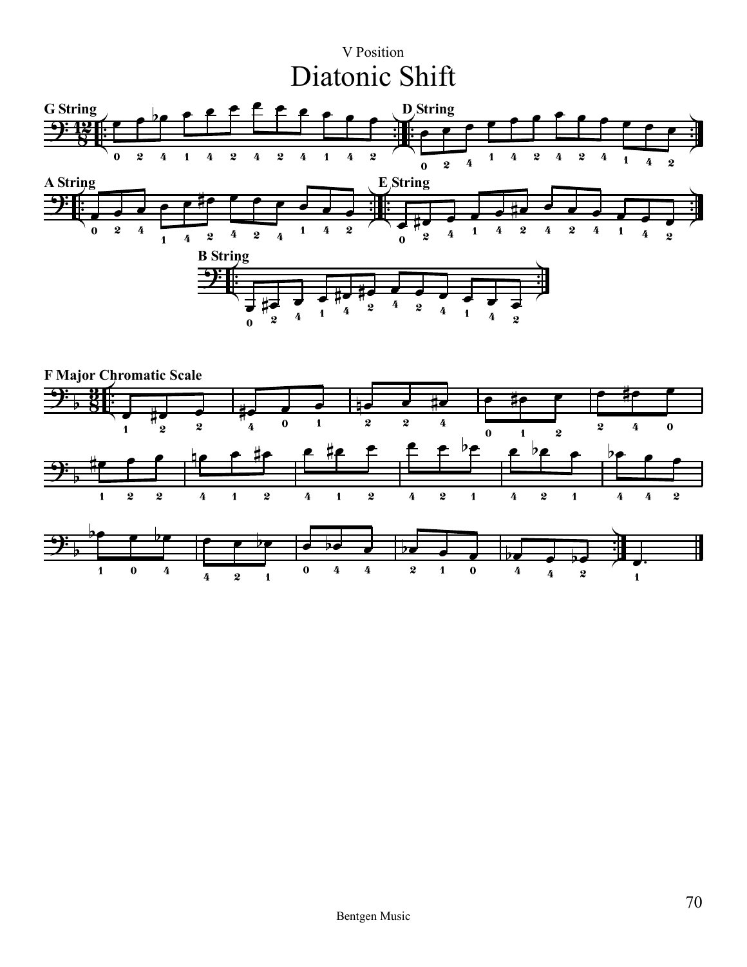## V Position Diatonic Shift



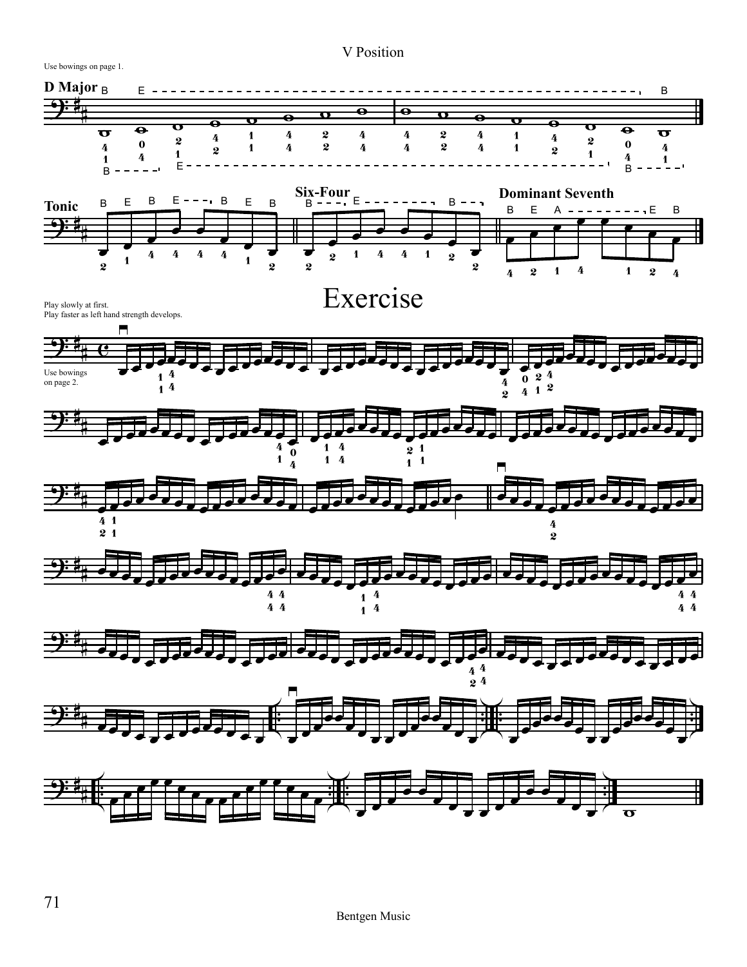## V Position

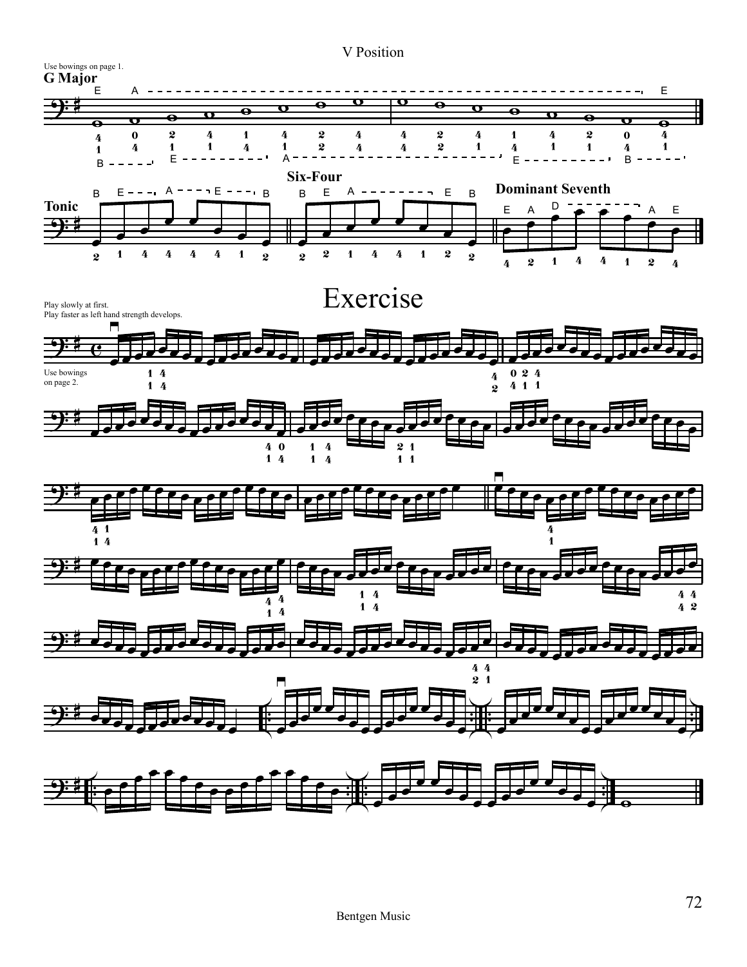## V Position

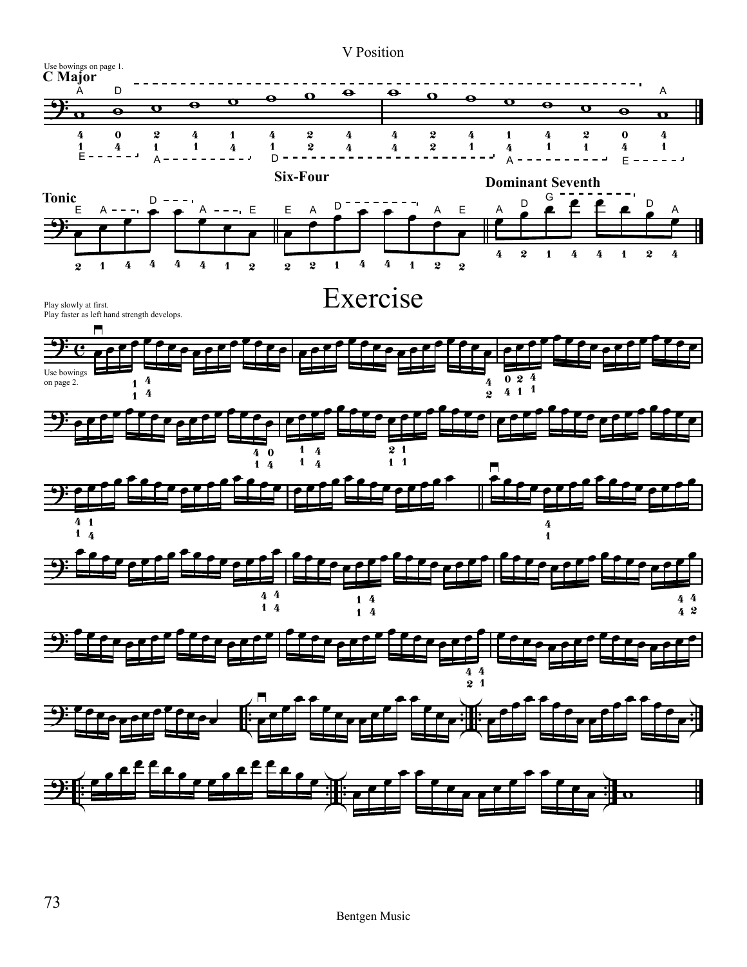

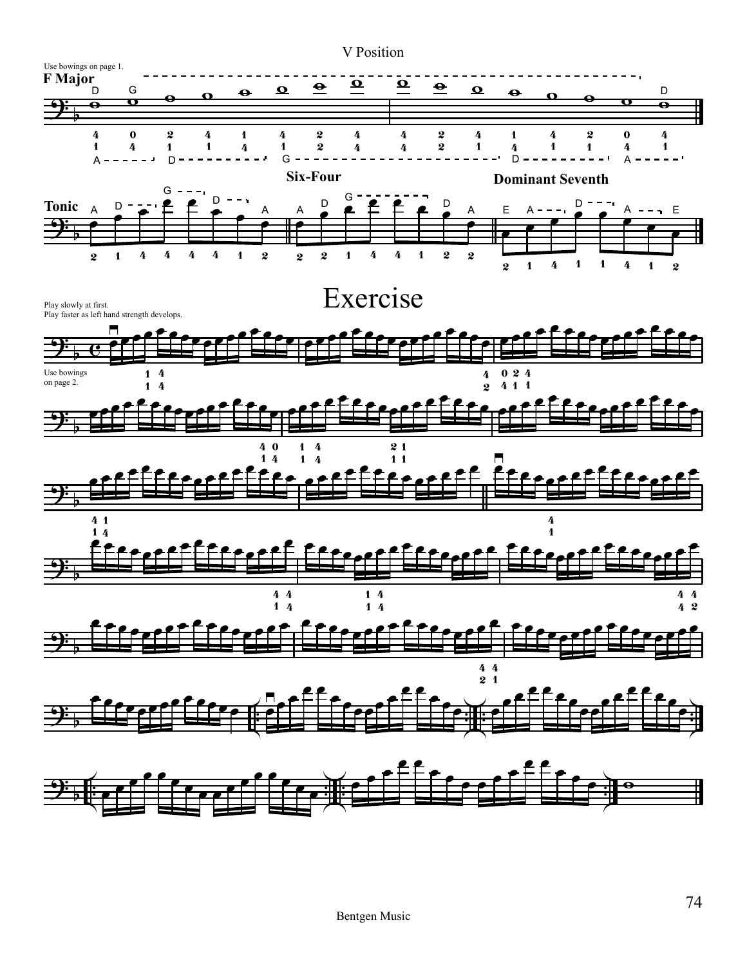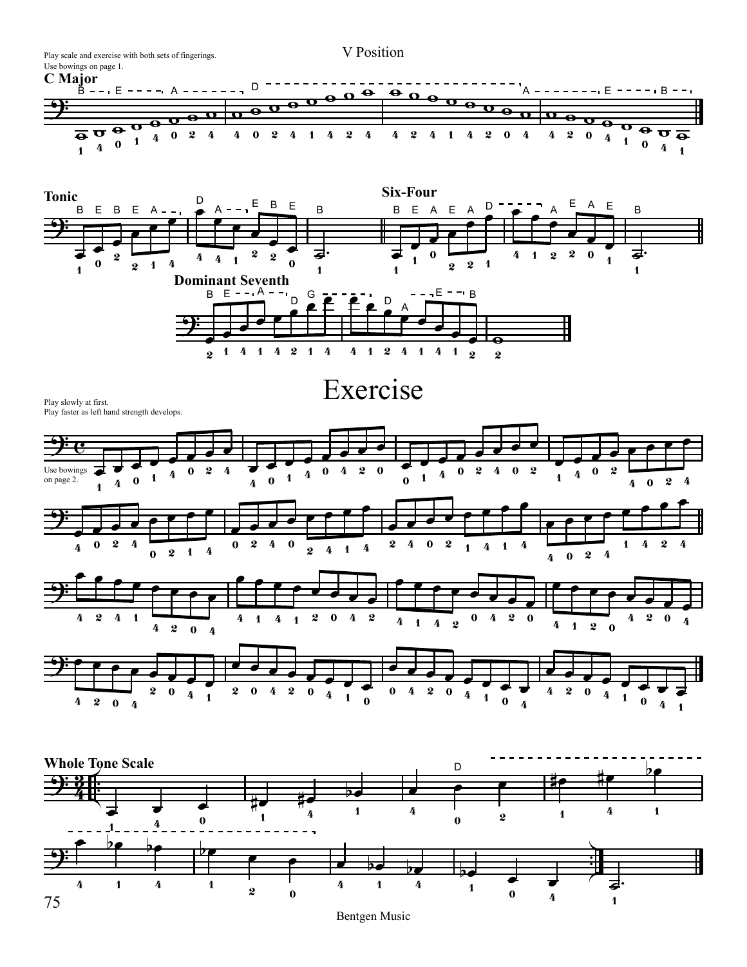V Position Play scale and exercise with both sets of fingerings. Use bowings on page 1. **C Major**  $\frac{1}{\Theta}$ D  $\frac{1}{\Omega}$  $\bullet$  $\bullet$ B E  $A - - - \blacksquare$ A E B ÷. o<br>C w  $\bullet$  $\overline{\mathbf{P}}$  $\overline{\mathbf{e}}$  $\Omega$ w  $\overline{\bullet}$  $\overline{\bullet}$ w w  $\bullet$ **o** w  $\overline{\bullet}$  $\overline{\mathbf{v}}$  $\overline{\bullet}$  $\overline{\mathbf{o}}$  $\overline{\mathbf{o}}$  $\frac{1}{\Theta}$  $\frac{1}{\Theta}$ w w  $\overline{\bullet}$  $\overline{\bullet}$ o<br>O  $\bf{0}$  $\bf{0}$  $\overline{\Theta}$ 2 4 4 2 4 4 2 4 4 2 4 1 4 2 0 4 4 2  $\mathbf \tau$ 1 0  $\overline{\bullet}$ 4 4 1 1 0 0 4 4 1 1 **Six-Four Tonic** œ D œ œ A E B E E A E œ D B E B E B B E A E œ B A – –<br><del>e – f</del> œ A A <u>ș:</u> µ<br>P œ œ œ œ œ œ œ œ œ œ œ œ œ ˙. œ œ  $\bf{0}$ 2 2 ₹ 2 2 4 2 0 1 4 4 1 1 1  $\bf{0}$  $2 \quad 1 \quad 4$  $\boldsymbol{0}$ 2 1 2 1 1 1 1 **Dominant Seventh**  $\frac{D}{P}$ œ B E A E B œ D. œ D A œ A<br>C <u>ș.</u> œ œ **L** œ U U œ œ  $\overline{\bullet}$  $\frac{2}{2}$  1 4 2 4 1 4 1 1 4 2 4 1 4 1 2 2 ExercisePlay slowly at first. Play faster as left hand strength develops.  $\overline{9}$  c œ  $\overline{\phantom{a}}$ œ œ œ œ œ œ œ œ œ œ œ œ  $\overline{\phantom{a}}$  $\overline{\phantom{a}}$ œ  $\overline{\phantom{a}}$ œ œ œ œ œ œ œ œ œ œ  $\begin{array}{c} \hline \hline 0 \end{array}$ œ  $\frac{1}{4}$ œ Use bowings 2 4 2 2 0 2 2 0  $\bf{0}$ 0 4 0 4 1 4 1 4 1 4 1  $\bf{0}$  $\bf{0}$  $\bf{0}$ on page 2. 4 2 4 4 0 4 1 œ œ œ œ œ œ œ œ œ œ <u>ș:</u> œ œ œ œ œ œ  $\overline{\phantom{a}}$ œ œ œ œ œ œ œ œ œ œ œ œ œ œ œ  $\bf{0}$  $\bf{0}$ 2 2 4 4 0 4 0 2 4 2 4 2 1 4 1 4 1 4 1 4 4 2 4 1 2 0 2 4 0 4 œ œ œ œ œ œ œ œ œ œ  $\overline{\textbf{P}}$ œ œ œ œ œ  $\overline{\phantom{a}}$ œ œ œ œ œ œ œ œ œ œ œ œ œ  $\overline{\phantom{a}}$ œ œ 2 4 1 2 0 2 4 4 1 4 1 0 4 2 4 2 0 4 0 4 4 4 2 1 4 1 2  $\mathbf 0$ 4 2 0 4  $\overrightarrow{9}$   $\overrightarrow{?}$ œ œ œ œ U œ  $\overline{\phantom{a}}$  $\overline{\phantom{a}}$  $\overline{\phantom{a}}$ œ œ œ œ  $\blacksquare$  $\blacksquare$ œ  $\blacksquare$ œ œ œ œ œ œ œ œ œ œ œ  $\overline{\phantom{a}}$ œ œ 2  $\bf{0}$ 2 0 4 2  $\bf{0}$ 0 4 2  $\bf{0}$ 4 2  $\bf{0}$ 4 4 4 4 1 1 1 1  $\bf{0}$  $\bf{0}$  $\bf{0}$ 4 2 0 4 4 4 1 . **Whole Tone Scale** bœ D #œ  $\frac{9.3}{4}$  $\frac{3}{2}$ #œ œ œ œ  $\overline{\phantom{0}}$ #œ #J œ œ œ 4 4 1 1 4 1 1 2 0 4 0 1 . <sup>œ</sup>  $\overline{\mathbf{b}}$ e bœ <u>be</u> ? . œ œ œ  $\overline{\phantom{0}}$  $\overline{b}$  $\overline{=}$ œ œ 4 1 4 1 4 1 す<br>1 4

Bentgen Music

1

 $\bf{0}$ 

4

2

 $\bf{0}$ 

 $75$  and  $2$  b  $0$  b  $4$  1